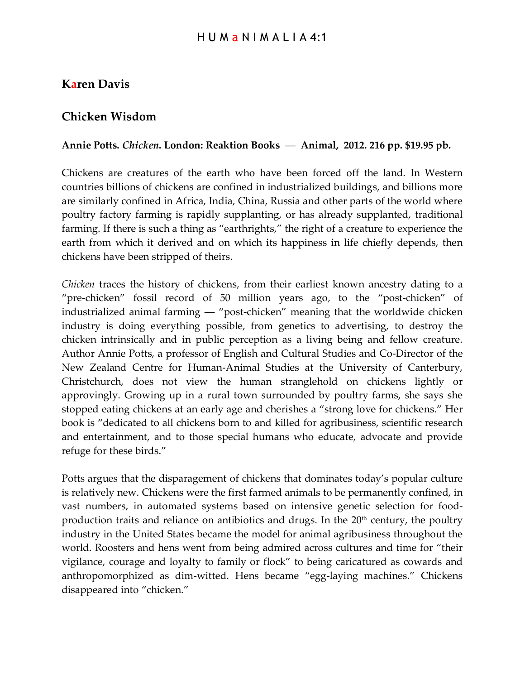## **Karen Davis**

## **Chicken Wisdom**

## **Annie Potts.** *Chicken***. London: Reaktion Books** ― **Animal, 2012. 216 pp. \$19.95 pb.**

Chickens are creatures of the earth who have been forced off the land. In Western countries billions of chickens are confined in industrialized buildings, and billions more are similarly confined in Africa, India, China, Russia and other parts of the world where poultry factory farming is rapidly supplanting, or has already supplanted, traditional farming. If there is such a thing as "earthrights," the right of a creature to experience the earth from which it derived and on which its happiness in life chiefly depends, then chickens have been stripped of theirs.

*Chicken* traces the history of chickens, from their earliest known ancestry dating to a "pre-chicken" fossil record of 50 million years ago, to the "post-chicken" of industrialized animal farming ― "post-chicken" meaning that the worldwide chicken industry is doing everything possible, from genetics to advertising, to destroy the chicken intrinsically and in public perception as a living being and fellow creature. Author Annie Potts, a professor of English and Cultural Studies and Co-Director of the New Zealand Centre for Human-Animal Studies at the University of Canterbury, Christchurch, does not view the human stranglehold on chickens lightly or approvingly. Growing up in a rural town surrounded by poultry farms, she says she stopped eating chickens at an early age and cherishes a "strong love for chickens." Her book is "dedicated to all chickens born to and killed for agribusiness, scientific research and entertainment, and to those special humans who educate, advocate and provide refuge for these birds."

Potts argues that the disparagement of chickens that dominates today's popular culture is relatively new. Chickens were the first farmed animals to be permanently confined, in vast numbers, in automated systems based on intensive genetic selection for foodproduction traits and reliance on antibiotics and drugs. In the  $20<sup>th</sup>$  century, the poultry industry in the United States became the model for animal agribusiness throughout the world. Roosters and hens went from being admired across cultures and time for "their vigilance, courage and loyalty to family or flock" to being caricatured as cowards and anthropomorphized as dim-witted. Hens became "egg-laying machines." Chickens disappeared into "chicken."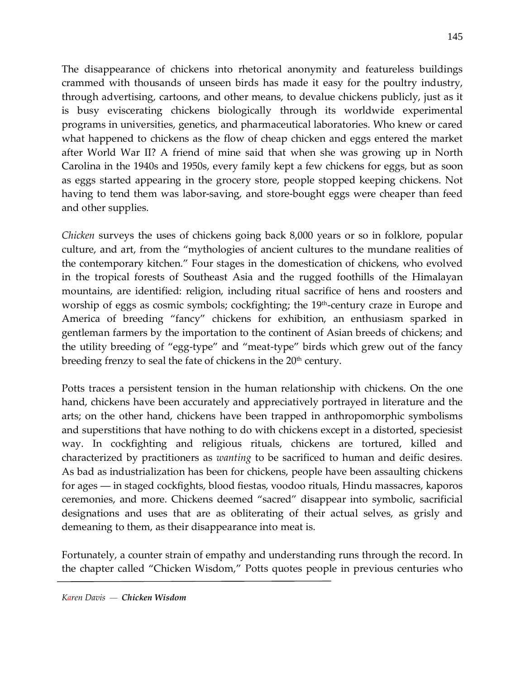The disappearance of chickens into rhetorical anonymity and featureless buildings crammed with thousands of unseen birds has made it easy for the poultry industry, through advertising, cartoons, and other means, to devalue chickens publicly, just as it is busy eviscerating chickens biologically through its worldwide experimental programs in universities, genetics, and pharmaceutical laboratories. Who knew or cared what happened to chickens as the flow of cheap chicken and eggs entered the market after World War II? A friend of mine said that when she was growing up in North Carolina in the 1940s and 1950s, every family kept a few chickens for eggs, but as soon as eggs started appearing in the grocery store, people stopped keeping chickens. Not having to tend them was labor-saving, and store-bought eggs were cheaper than feed and other supplies.

*Chicken* surveys the uses of chickens going back 8,000 years or so in folklore, popular culture, and art, from the "mythologies of ancient cultures to the mundane realities of the contemporary kitchen." Four stages in the domestication of chickens, who evolved in the tropical forests of Southeast Asia and the rugged foothills of the Himalayan mountains, are identified: religion, including ritual sacrifice of hens and roosters and worship of eggs as cosmic symbols; cockfighting; the 19<sup>th</sup>-century craze in Europe and America of breeding "fancy" chickens for exhibition, an enthusiasm sparked in gentleman farmers by the importation to the continent of Asian breeds of chickens; and the utility breeding of "egg-type" and "meat-type" birds which grew out of the fancy breeding frenzy to seal the fate of chickens in the  $20<sup>th</sup>$  century.

Potts traces a persistent tension in the human relationship with chickens. On the one hand, chickens have been accurately and appreciatively portrayed in literature and the arts; on the other hand, chickens have been trapped in anthropomorphic symbolisms and superstitions that have nothing to do with chickens except in a distorted, speciesist way. In cockfighting and religious rituals, chickens are tortured, killed and characterized by practitioners as *wanting* to be sacrificed to human and deific desires. As bad as industrialization has been for chickens, people have been assaulting chickens for ages ― in staged cockfights, blood fiestas, voodoo rituals, Hindu massacres, kaporos ceremonies, and more. Chickens deemed "sacred" disappear into symbolic, sacrificial designations and uses that are as obliterating of their actual selves, as grisly and demeaning to them, as their disappearance into meat is.

Fortunately, a counter strain of empathy and understanding runs through the record. In the chapter called "Chicken Wisdom," Potts quotes people in previous centuries who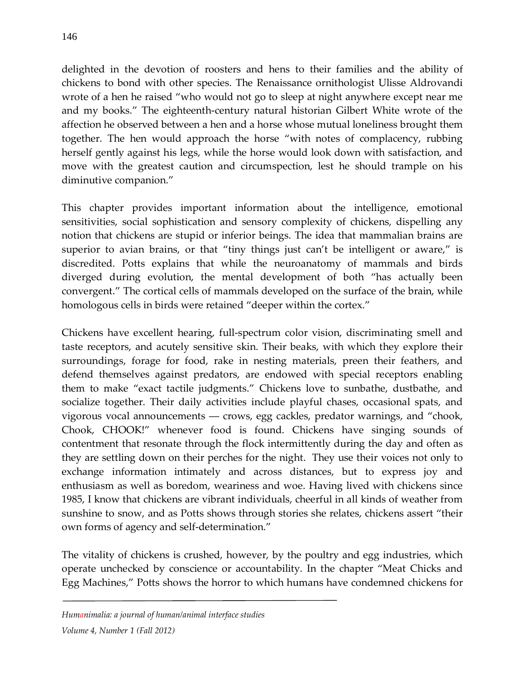delighted in the devotion of roosters and hens to their families and the ability of chickens to bond with other species. The Renaissance ornithologist Ulisse Aldrovandi wrote of a hen he raised "who would not go to sleep at night anywhere except near me and my books." The eighteenth-century natural historian Gilbert White wrote of the affection he observed between a hen and a horse whose mutual loneliness brought them together. The hen would approach the horse "with notes of complacency, rubbing herself gently against his legs, while the horse would look down with satisfaction, and move with the greatest caution and circumspection, lest he should trample on his diminutive companion."

This chapter provides important information about the intelligence, emotional sensitivities, social sophistication and sensory complexity of chickens, dispelling any notion that chickens are stupid or inferior beings. The idea that mammalian brains are superior to avian brains, or that "tiny things just can't be intelligent or aware," is discredited. Potts explains that while the neuroanatomy of mammals and birds diverged during evolution, the mental development of both "has actually been convergent." The cortical cells of mammals developed on the surface of the brain, while homologous cells in birds were retained "deeper within the cortex."

Chickens have excellent hearing, full-spectrum color vision, discriminating smell and taste receptors, and acutely sensitive skin. Their beaks, with which they explore their surroundings, forage for food, rake in nesting materials, preen their feathers, and defend themselves against predators, are endowed with special receptors enabling them to make "exact tactile judgments." Chickens love to sunbathe, dustbathe, and socialize together. Their daily activities include playful chases, occasional spats, and vigorous vocal announcements ― crows, egg cackles, predator warnings, and "chook, Chook, CHOOK!" whenever food is found. Chickens have singing sounds of contentment that resonate through the flock intermittently during the day and often as they are settling down on their perches for the night. They use their voices not only to exchange information intimately and across distances, but to express joy and enthusiasm as well as boredom, weariness and woe. Having lived with chickens since 1985, I know that chickens are vibrant individuals, cheerful in all kinds of weather from sunshine to snow, and as Potts shows through stories she relates, chickens assert "their own forms of agency and self-determination."

The vitality of chickens is crushed, however, by the poultry and egg industries, which operate unchecked by conscience or accountability. In the chapter "Meat Chicks and Egg Machines," Potts shows the horror to which humans have condemned chickens for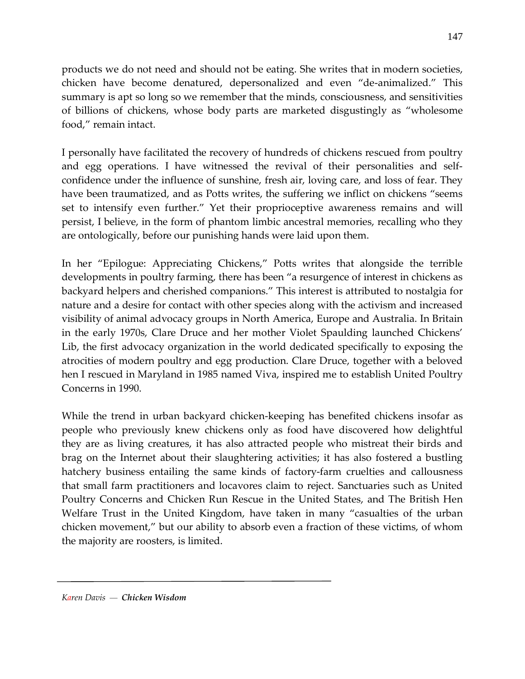products we do not need and should not be eating. She writes that in modern societies, chicken have become denatured, depersonalized and even "de-animalized." This summary is apt so long so we remember that the minds, consciousness, and sensitivities of billions of chickens, whose body parts are marketed disgustingly as "wholesome food," remain intact.

I personally have facilitated the recovery of hundreds of chickens rescued from poultry and egg operations. I have witnessed the revival of their personalities and selfconfidence under the influence of sunshine, fresh air, loving care, and loss of fear. They have been traumatized, and as Potts writes, the suffering we inflict on chickens "seems set to intensify even further." Yet their proprioceptive awareness remains and will persist, I believe, in the form of phantom limbic ancestral memories, recalling who they are ontologically, before our punishing hands were laid upon them.

In her "Epilogue: Appreciating Chickens," Potts writes that alongside the terrible developments in poultry farming, there has been "a resurgence of interest in chickens as backyard helpers and cherished companions." This interest is attributed to nostalgia for nature and a desire for contact with other species along with the activism and increased visibility of animal advocacy groups in North America, Europe and Australia. In Britain in the early 1970s, Clare Druce and her mother Violet Spaulding launched Chickens' Lib, the first advocacy organization in the world dedicated specifically to exposing the atrocities of modern poultry and egg production. Clare Druce, together with a beloved hen I rescued in Maryland in 1985 named Viva, inspired me to establish United Poultry Concerns in 1990.

While the trend in urban backyard chicken-keeping has benefited chickens insofar as people who previously knew chickens only as food have discovered how delightful they are as living creatures, it has also attracted people who mistreat their birds and brag on the Internet about their slaughtering activities; it has also fostered a bustling hatchery business entailing the same kinds of factory-farm cruelties and callousness that small farm practitioners and locavores claim to reject. Sanctuaries such as United Poultry Concerns and Chicken Run Rescue in the United States, and The British Hen Welfare Trust in the United Kingdom, have taken in many "casualties of the urban chicken movement," but our ability to absorb even a fraction of these victims, of whom the majority are roosters, is limited.